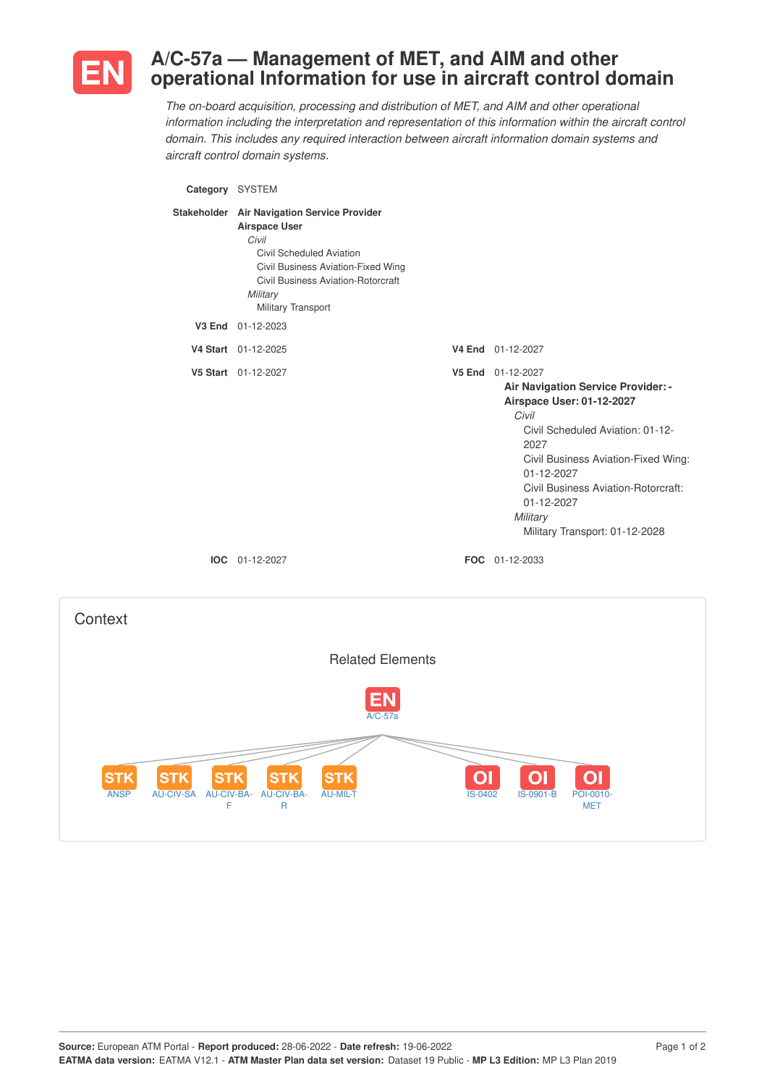

# **A/C-57a — Management of MET, and AIM and other operational Information for use in aircraft control domain**

*The on-board acquisition, processing and distribution of MET, and AIM and other operational information including the interpretation and representation of this information within the aircraft control domain. This includes any required interaction between aircraft information domain systems and aircraft control domain systems.*

| Category SYSTEM |                                                                                                                                                                                                                               |                                                                                                                                                                                                                                                                                                          |
|-----------------|-------------------------------------------------------------------------------------------------------------------------------------------------------------------------------------------------------------------------------|----------------------------------------------------------------------------------------------------------------------------------------------------------------------------------------------------------------------------------------------------------------------------------------------------------|
|                 | Stakeholder Air Navigation Service Provider<br><b>Airspace User</b><br>Civil<br>Civil Scheduled Aviation<br>Civil Business Aviation-Fixed Wing<br><b>Civil Business Aviation-Rotorcraft</b><br>Military<br>Military Transport |                                                                                                                                                                                                                                                                                                          |
|                 | V3 End 01-12-2023                                                                                                                                                                                                             |                                                                                                                                                                                                                                                                                                          |
|                 | V4 Start 01-12-2025                                                                                                                                                                                                           | V4 End 01-12-2027                                                                                                                                                                                                                                                                                        |
|                 | V5 Start 01-12-2027                                                                                                                                                                                                           | V5 End 01-12-2027<br>Air Navigation Service Provider: -<br>Airspace User: 01-12-2027<br>Civil<br>Civil Scheduled Aviation: 01-12-<br>2027<br>Civil Business Aviation-Fixed Wing:<br>01-12-2027<br><b>Civil Business Aviation-Rotorcraft:</b><br>01-12-2027<br>Military<br>Military Transport: 01-12-2028 |
|                 | IOC 01-12-2027                                                                                                                                                                                                                | FOC 01-12-2033                                                                                                                                                                                                                                                                                           |
| Context         |                                                                                                                                                                                                                               |                                                                                                                                                                                                                                                                                                          |
|                 | <b>Related Elements</b>                                                                                                                                                                                                       |                                                                                                                                                                                                                                                                                                          |

 $A/C-57$ 

**AU-MIL-T** 2000 2000 2000 2000 1S-0901-B POI-0010

 $\overline{O}$ 

 $|O|$ 

MET

 $\overline{O}$ 

ANSP AU-CIV-SA AU-CIV-BA-

**STK** 

**STK** 

F

**STK** 

AU-CIV-BA-R

**STK** 

**STK**